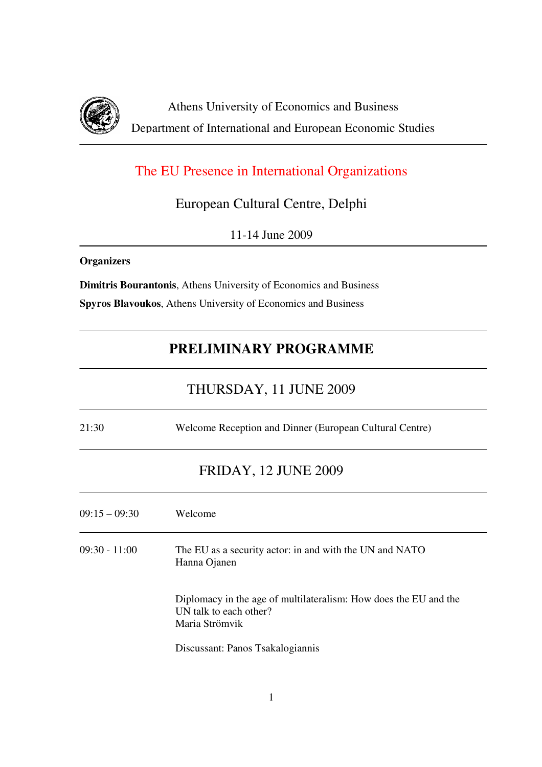

Athens University of Economics and Business Department of International and European Economic Studies

# The EU Presence in International Organizations

European Cultural Centre, Delphi

11-14 June 2009

#### **Organizers**

**Dimitris Bourantonis**, Athens University of Economics and Business **Spyros Blavoukos**, Athens University of Economics and Business

# **PRELIMINARY PROGRAMME**

### THURSDAY, 11 JUNE 2009

21:30 Welcome Reception and Dinner (European Cultural Centre)

#### FRIDAY, 12 JUNE 2009

| $09:15 - 09:30$ | Welcome                                                                                                      |
|-----------------|--------------------------------------------------------------------------------------------------------------|
| $09:30 - 11:00$ | The EU as a security actor: in and with the UN and NATO<br>Hanna Ojanen                                      |
|                 | Diplomacy in the age of multilateralism: How does the EU and the<br>UN talk to each other?<br>Maria Strömvik |
|                 | Discussant: Panos Tsakalogiannis                                                                             |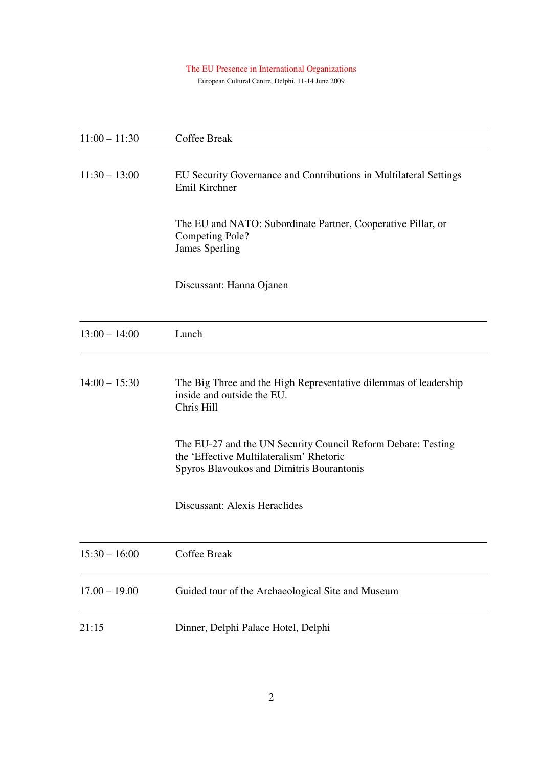#### The EU Presence in International Organizations

European Cultural Centre, Delphi, 11-14 June 2009

| $11:00 - 11:30$ | <b>Coffee Break</b>                                                                                                                                   |
|-----------------|-------------------------------------------------------------------------------------------------------------------------------------------------------|
| $11:30 - 13:00$ | EU Security Governance and Contributions in Multilateral Settings<br>Emil Kirchner                                                                    |
|                 | The EU and NATO: Subordinate Partner, Cooperative Pillar, or<br>Competing Pole?<br><b>James Sperling</b>                                              |
|                 | Discussant: Hanna Ojanen                                                                                                                              |
| $13:00 - 14:00$ | Lunch                                                                                                                                                 |
| $14:00 - 15:30$ | The Big Three and the High Representative dilemmas of leadership<br>inside and outside the EU.<br>Chris Hill                                          |
|                 | The EU-27 and the UN Security Council Reform Debate: Testing<br>the 'Effective Multilateralism' Rhetoric<br>Spyros Blavoukos and Dimitris Bourantonis |
|                 | Discussant: Alexis Heraclides                                                                                                                         |
| $15:30 - 16:00$ | Coffee Break                                                                                                                                          |
| $17.00 - 19.00$ | Guided tour of the Archaeological Site and Museum                                                                                                     |
| 21:15           | Dinner, Delphi Palace Hotel, Delphi                                                                                                                   |